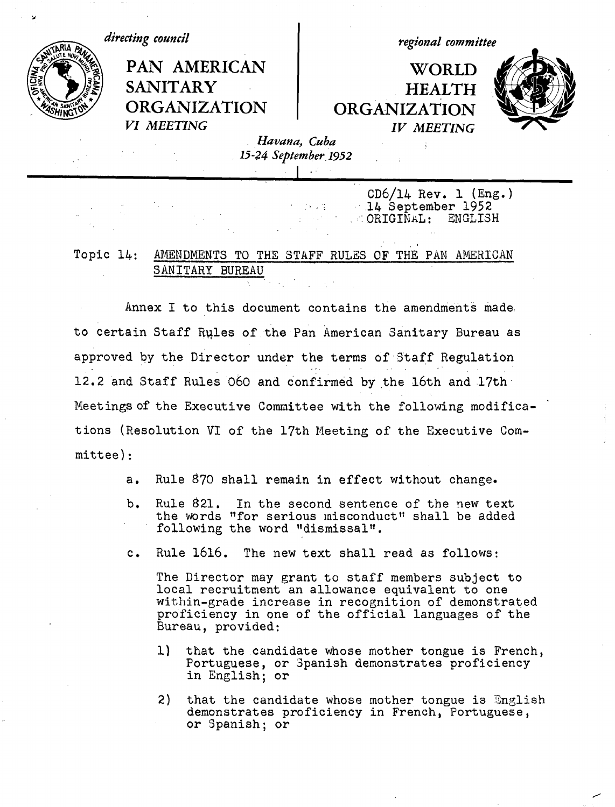

14 September 1952<br>ORIGINAL: ENGLISH  $\ldots$  ORIGINAL:

# Topic 14: AMENDMENTS TO THE STAFF RULES OF THE PAN AMERICAN SANITARY BUREAU

Annex I to this document contains the amendments made. to certain Staff Rules of the Pan American Sanitary Bureau as approved by the Director under the terms of Staff Regulation 12.2 and Staff Rules 060 and confirmed by the 16th and 17th Meetings of the Executive Committee with the following modifications (Resolution VI of the 17th Meeting of the Executive Committee):

- a. Rule 870 shall remain in effect without change.
- b. Rule 821. In the second sentence of the new text the words "for serious misconduct" shall be added following the word "dismissal".
- c. Rule 1616. The new text shall read as follows:

The Director may grant to staff members subject to local recruitment an allowance equivalent to one within-grade increase in recognition of demonstrated proficiency in one of the official languages of the Bureau, provided:

- 1) that the candidate whose mother tongue is French, Portuguese, or Spanish demonstrates proficiency in English; or
- 2) that the candidate whose mother tongue is English demonstrates proficiency in French, Portuguese, or Spanish; or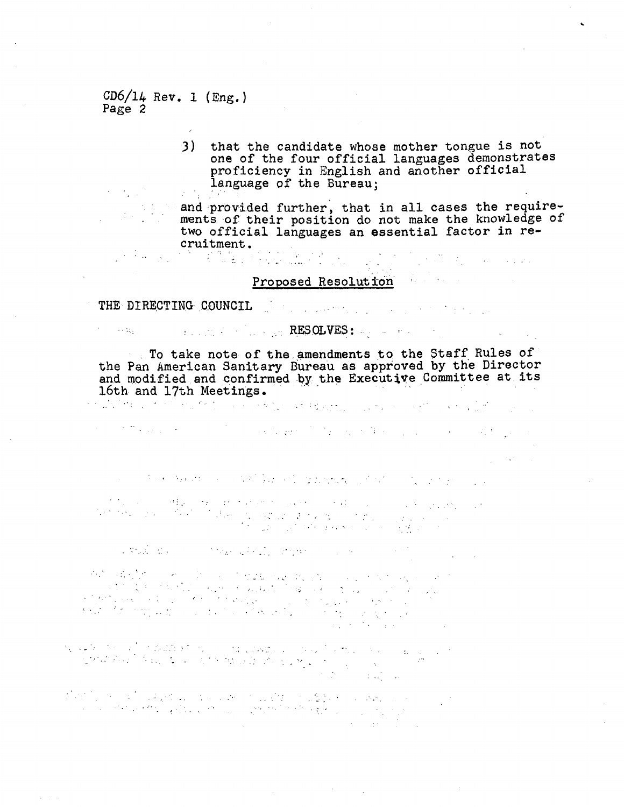$CD6/14$  Rev. 1 (Eng.) Page 2

 $\sim 10^{10}$  M  $_\odot$ 

 $\epsilon_{\rm{max}}$  and  $\alpha_{\rm{max}}$ 

3) that the candidate whose mother tongue is not one of the four official languages demonstrates proficiency in English and another official language of the Bureau;

and provided further, that in all cases the requirements of their position do not make the knowledge of two official languages an essential factor in recruitment.

 $\mathcal{L}^{\mathcal{A}}(\mathcal{A})=\mathcal{L}^{\mathcal{A}}(\mathcal{A})\mathcal{L}^{\mathcal{A}}(\mathcal{A})=\mathcal{L}^{\mathcal{A}}(\mathcal{A})\mathcal{L}^{\mathcal{A}}(\mathcal{A})=\mathcal{L}^{\mathcal{A}}(\mathcal{A})\mathcal{L}^{\mathcal{A}}(\mathcal{A})=\mathcal{L}^{\mathcal{A}}(\mathcal{A})\mathcal{L}^{\mathcal{A}}(\mathcal{A})$ 

 $\label{eq:2.1} \mathcal{L}(\mathcal{L}^{\mathcal{L}}(\mathcal{L}^{\mathcal{L}}(\mathcal{L}^{\mathcal{L}}(\mathcal{L}^{\mathcal{L}}(\mathcal{L}^{\mathcal{L}}(\mathcal{L}^{\mathcal{L}}(\mathcal{L}^{\mathcal{L}}(\mathcal{L}^{\mathcal{L}}(\mathcal{L}^{\mathcal{L}}(\mathcal{L}^{\mathcal{L}}(\mathcal{L}^{\mathcal{L}}(\mathcal{L}^{\mathcal{L}}(\mathcal{L}^{\mathcal{L}}(\mathcal{L}^{\mathcal{L}}(\mathcal{L}^{\mathcal{L}}(\mathcal{L}^{\mathcal$ 

# Proposed Resolution

## THE DIRECTING COUNCIL

## .... ... ... ... **RESOLVES:** ... ... ... ... ...

To take note of the amendments to the Staff Rules of the Pan American Sanitary Bureau as approved by the Director and modified and confirmed by the Executive Committee at its 16th and 17th Meetings.<br>And the contract of the contract of the contract of the contract of the contract of the contract of the contract of

of the same of the control of the same of the control of the control of the control of the control of the control of the control of the control of the control of the control of the control of the control of the control of  $\sim$   $\sim$ 

and the complete and the state of the complete of the complete state of the

a statistica de la conflita de la participación de l'algebra de la característica de la característica de la c<br>Destache de la característica de l'algebra de l'algebra de la característica de la característica de la caract 

Production of the Principal State of the Company of the Company of the

المستهدي والمستعاد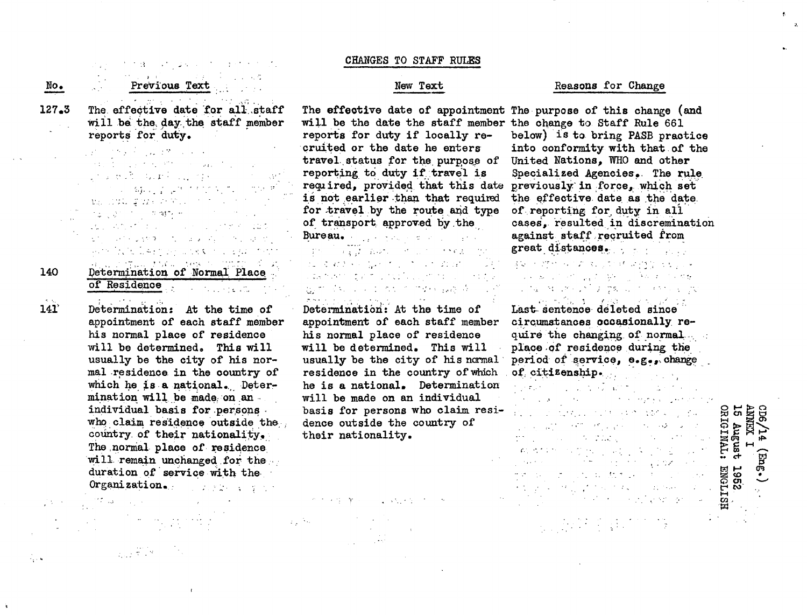| No.   | せいすず しょうおんすうしょくゆ<br>Previous Text                                                                                                                                                                                                                                                                                                                                                                                                                                                                                                                                                                                       |
|-------|-------------------------------------------------------------------------------------------------------------------------------------------------------------------------------------------------------------------------------------------------------------------------------------------------------------------------------------------------------------------------------------------------------------------------------------------------------------------------------------------------------------------------------------------------------------------------------------------------------------------------|
| 127.3 | contracts in the contracts.<br>The effective date for all staff<br>will be the day the staff member<br>reports for duty.                                                                                                                                                                                                                                                                                                                                                                                                                                                                                                |
|       | $\mathcal{L}(\mathcal{E}) = \mathcal{L}(\mathcal{E}(\mathbf{y},\mathcal{E}))$ , where $\mathcal{L}(\mathcal{E}(\mathbf{y},\mathcal{E}))$<br>$\label{eq:2.1} \mathcal{A}(\mathbf{1}) = \mathcal{A}(\mathbf{1}) = \mathcal{A}(\mathbf{1}) = \mathcal{A}(\mathbf{1}) = \mathcal{A}(\mathbf{1}) = \mathcal{A}(\mathbf{1}) = \mathcal{A}(\mathbf{1}) = \mathcal{A}(\mathbf{1}) = \mathcal{A}(\mathbf{1}) = \mathcal{A}(\mathbf{1}) = \mathcal{A}(\mathbf{1}) = \mathcal{A}(\mathbf{1}) = \mathcal{A}(\mathbf{1}) = \mathcal{A}(\mathbf{1}) = \mathcal{A}(\mathbf{1}) = \mathcal{A}(\mathbf{1}) = \mathcal$<br>いっせき ゆおしこ せいしつ |
|       | i sa naga ga gayan na na na mara na mara na mara na mara na mara na mara na mara na mara na mara na mara na ma<br>転出にはい 変なわない アルティー・ディー<br>ा देखें के साथ से बारे में                                                                                                                                                                                                                                                                                                                                                                                                                                                   |

Second Control Control **TELL LINES CONSUMING** Determination of Normal Place . of Residence

 $1 + 1 + 1 + 0 + 2$ 

 $\frac{1}{\sqrt{2\pi}}\frac{1}{2}\frac{d^2\phi}{d\phi^2}\frac{d\phi}{d\phi^2}$ 

King State

140

141

Ž,

Determination: At the time of appointment of each staff member his normal place of residence will be determined, This will usually be the city of his normal residence in the country of which he is a national. Determination will be made; on an individual basis for persons. who claim residence outside the country.of their nationality,. The normal place of residence will remain unchanged for the. duration of service with the Organization.

#### CHANGES TO STAFF RULES

#### New Text

The effective date of appointment The purpose of this change (and will be the date the staff member the change to Staff Rule 661 reports for duty if locally re- -cruited or the date he enters travel status for the purpose of reporting to duty if travel is requ ired, provided that this date previously in force, which set is not earlier than that required for travel by the route and type of transport. approved by.the Bureau.

## in <del>com</del><br>Inter**gia scor**e in continu**ment** di elemento provincia e marzo المداري والموارد والأمراق المعرفين والمتحدث As a contract of the case A during the second control

Determination': At the time of appointment of each staff member his normal place of residence will be determined. This will usually be the city of his normal ' residence in the country of which he is a national. Determination will be made on an individual basis for persons who claim residence outside the country of their nationality.

かけ えばいない しょうしょりょうしゃ

#### Reasons for Change

below) is to bring PASB practice into conformity with that.of the United Nations, WHO and other Specialized Agencies.. The rule. the effective date as the date. of reporting for duty in all cases, resulted in discremination against staff recruited from great distances.

# 机二十烷酸 化二乙酸 医下棘 计推导 医毛豆仁 Last sentence deted since

Last sentence deleted since circumstances occasionally require the changing of normal. place .of residence during the period of service, e.g., change of citizenship. .

and the magazine of the material portunity for a good of the state of the state of the state of the 40.844.5万元, 同时, 女子的名 الهويمي العالمي وبالسفير المناب المعتدى かたい こうしん にねたい ストルトル et gelen mel gronde med en a ta 1980 a 1980 a ta 1980 a tsann gan cuid

2. 经联系数据

2 **0** *Cn* **0 02 ~tJ** *ort* **t-4** M ,W **C0** W **O.**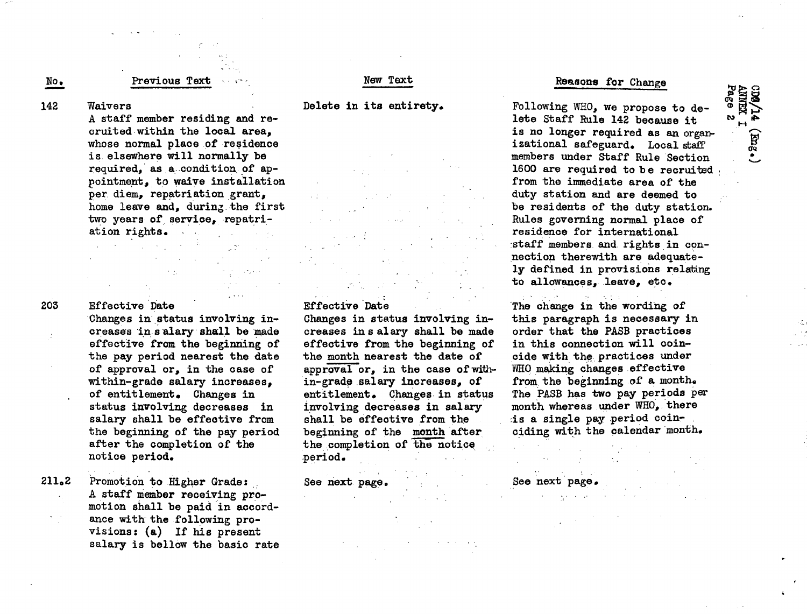## No. Previous Text

## New Text

#### Delete in its entirety.

142 Waivers

A staff member residing and recruited within the local area, whose normal place of residence is elsewhere will normally be required, as a..condition of appointment, to waive installation per diem, repatriation grant, home leave and, during, the first two years of service, repatriation rights.  $\mathcal{L}^{\text{max}}$  and  $\mathcal{L}^{\text{max}}$ 

#### 203

#### Effective Date

Changes in' status involving increases 'in s alary shall be made effective from the beginning of the pay period nearest the date of approval or, in the case of within-grade salary increases, of entitlement. Changes in status involving decreases in salary shall be effective from the beginning of the pay period after the completion of the notice period.

211.2 Promotion to Higher Grade: A staff member receiving promotion shall be paid in accordance with the following provisions: (a) If his present salary is bellow the basic rate

## Effective Date

Changes in status involving increases ins alary shall be made effective from the beginning of the month nearest the date of approval or, in the case of within-grade salary increases, of entitlement. Changes in status involving decreases in salary shall be effective from the beginning of the month after the completion of the notice period.

See next page.

#### Reasons for Change

ሜ<br>ወ

 $\mathbf{w}$  is  $\mathbf{r}$  $\mathbf{H}$ . *e\_* V

Following WHO, we propose to delete Staff Rule 142 because it is no longer required as an organizational safeguard. Local staff members under Staff Rule Section 1600 are required to be recruited from the immediate area of the duty station and are deemed to be residents of the duty station. Rules governing normal place of residence for international :staff members and rights in connection therewith are adequately defined in provisions relating to allowances, leave, etc.

The change in the wording of this paragraph is necessary in order that the PASB practices in this connection will coincide with the practices under WHO making changes effective from the beginning of a month. The PASB has two pay periods per month whereas under WHO, there :is a single pay period coinciding with the calendar month.

See next page.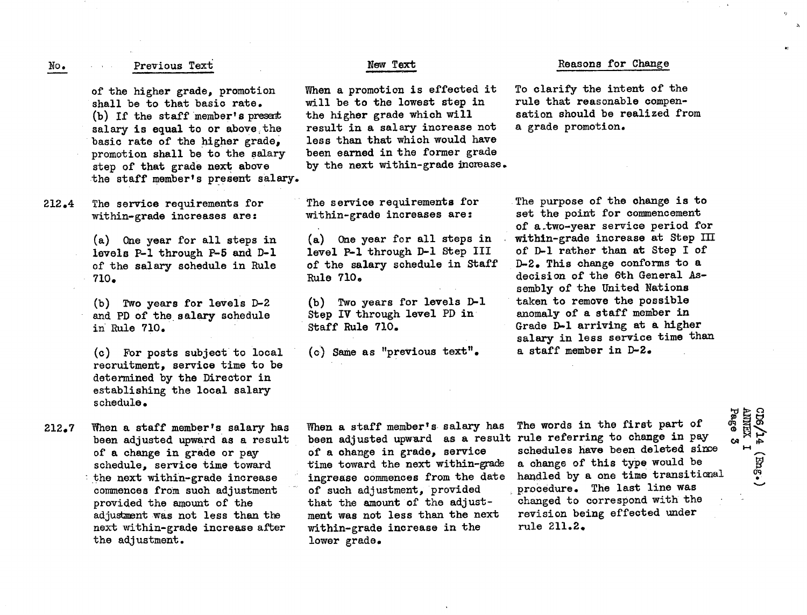#### **No.** Previous Text New **Text**

of the higher grade, promotion shall be to that basic rate. (b) If the staff member's preset salary is equal to or above the basic rate of the higher grade, promotion shall be to the salary step of that grade next above the staff member's present salary.

212.4 The service requirements for within-grade increases are:

> (a) One year for all steps in levels P-1 through P-5 and D-1 of the salary schedule in Rule 710.

(b) Two years for levels D-2 and PD of the salary schedule in Rule 710.

(c) For posts subject to local recruitment, service time to be determined by the Director in establishing the local salary schedule.

212.7 When a staff member's salary has been adjusted upward as a result of a change in grade or pay schedule, service time toward the next within-grade increase commences from such adjustment provided the amount of the adjustment was not less than the next within-grade increase after the adjustment.

When a promotion is effected it will be to the lowest step in the higher grade which will result in a salary increase not less than that which would have been earned in the former grade by the next within-grade increase.

The service requirements for within-grade increases are:

(a) One year for all steps in level P-1 through D-1 Step III of the salary schedule in Staff Rule 710.

(b) Two years for levels D-1 Step IV through level PD in Staff Rule 710.

(c) Same as "previous text".

#### Reasons for Change

To clarify the intent of the rule that reasonable compensation should be realized from a grade promotion.

The purpose of the change is to set the point for commencement of a.two-year service period for within-grade increase at Step III of D-1 rather than at Step I of D-2. This change conforms to a decision of the 6th General Assembly of the United Nations taken to remove the possible anomaly of a staff member in Grade D-1 arriving at a higher salary in less service time than a staff member in D-2.

When a staff member's salary has been adjusted upward as a result rule referring to change in pay of a change in grade, service time toward the next within-grade ingrease commences from the date of such adjustment, provided that the amount of the adjustment was not less than the next within-grade increase in the lower grade.

The words in the first part of schedules have been deleted since a change of this type would be handled by a one time transitional procedure. The last line was changed to correspond with the revision being effected under rule 211.2.

**CD6/14 (<br>
ANNEX 1**<br>Page 3

**I** .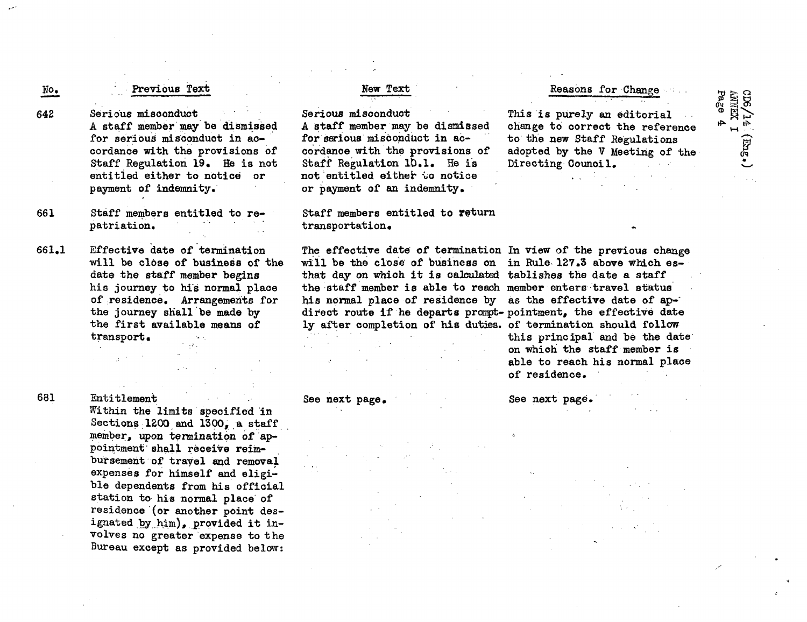## Previous Text

Serious misconduct A staff member may be dismissed for serious misconduct in accordance with the provisions of Staff Regulation 19. He is not entitled either to notice or payment of indemnity.

- 661 Staff members entitled to repatriation.
- 661.1 Effective date of termination will be close of business of the date the staff member begins his journey to his normal place of residence. Arrangements for the journey shall be made by the first available means of transport

#### 681

No.

642

Entitlement Within the limits specified in Sections 1200 and 1300, a staff member, upon termination of appointment' shall receive reimbursement of travel and removal expenses for himself and eligible dependents from his official station to his normal place'of residence (or another point designated by him), provided it involves no greater expense to the Bureau except as provided below:

## New Text

Serious misconduct A staff member may be dismissed for serious misconduct in accordance with the provisions of Staff Regulation 10.1. He is not entitled either to notice or payment of an indemnity.

### Staff members entitled to return transportation.

The effective date of termination In view of the previous change will be the close of business on in Rule 127.3 above which esthat day on which it is calculated tablishes the date a staff the staff member is able to reach member enters travel status his normal place of residence by as the effective date of apdirect route if he departs prompt- pointment, the effective date ly after completion of his duties. of termination should follow

## Reasons for Change

OF

This is purely an editorial change to correct the reference to the new Staff Regulations adopted by the V Meeting of the Directing Counoil.

 $CD6/1$ <br>ANNEX<br>Page **HI**  $\blacksquare$ .<br>أبس

this principal and be the date on which the staff member is able to reach his normal place of residence.

#### See next page, See next page.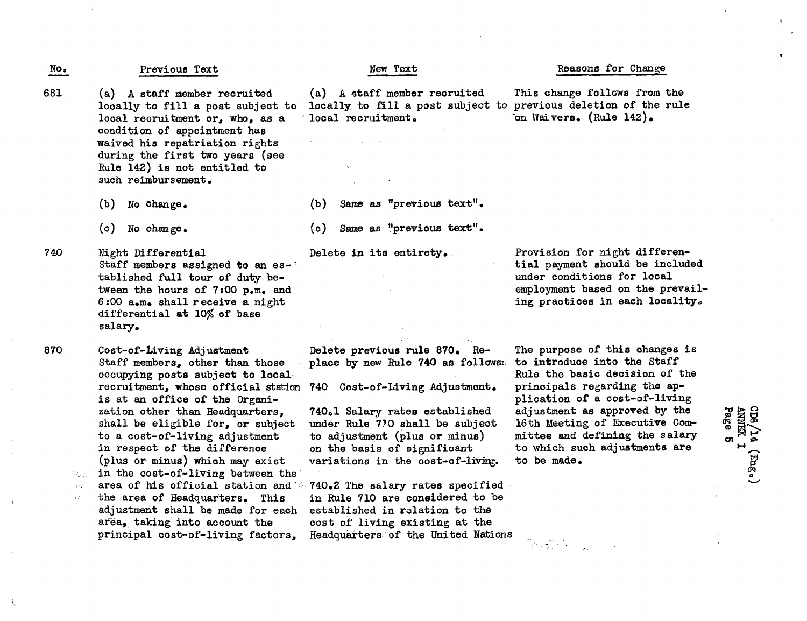No. Previous Text New Text

- (a) A staff member recruited locally to fill a post subject to local recruitment or, who, as a condition of appointment has waived his repatriation rights during the first two years (see Rule 142) is not entitled to such reimbursement. 681
	- (b) No change.
	- $(c)$  No change.
- Night Differential Staff members assigned to an established full tour of duty between the hours of 7:00 p.m. and 6:00 a.m. shall receive a night differential at 10% of base salary, 740

Cost-of-Living Adjustment Staff members, other than those occupying posts subject to local recruitment, whose official station is at an office of the Organization other than Headquarters, shall be eligible for, or subject to a cost-of-living adjustment in respect of the difference (plus or minus) which may exist in the cost-of-living between the area of his official station and 子27

the area of Headquarters. This adjustment shall be made for each area, taking into account the principal cost-of-living factors,

(a) A staff member recruited This change follows from the locally to fill a post subject to previous deletion of the rule locally to fill a post subject to prequest to previous deletion of the results.

(b) Same as "previous text".

(c) Same as "previous text".

Delete in its entirety.

Delete previous rule 870. Replace by new Rule 740 as follows:

740 Cost-of-Living Adjustment.

740.1 Salary rates established under Rule 770 shall be subject to adjustment (plus or minus) on the basis of significant variations in the cost-of-living.

740.2 The salary rates specified in Rule 710 are considered to be established in relation to the cost of living existing at the Headquarters of the United Nations

Provision for night differential payment should be included under conditions for local employment based on the prevailing practices in each locality.

The purpose of this changes is to introduce into the Staff Rule the basic decision of the principals regarding the application of a cost-of-living adjustment as approved by the 16th Meeting of Executive Committee and defining the salary to which such adjustments are to be made.

#### Reasons for Change

 $\overline{\text{on}}$  Waivers. (Rule 142).

CD6/14 (<br>ANNEX 1<br>Page 5 (Png.)

870

立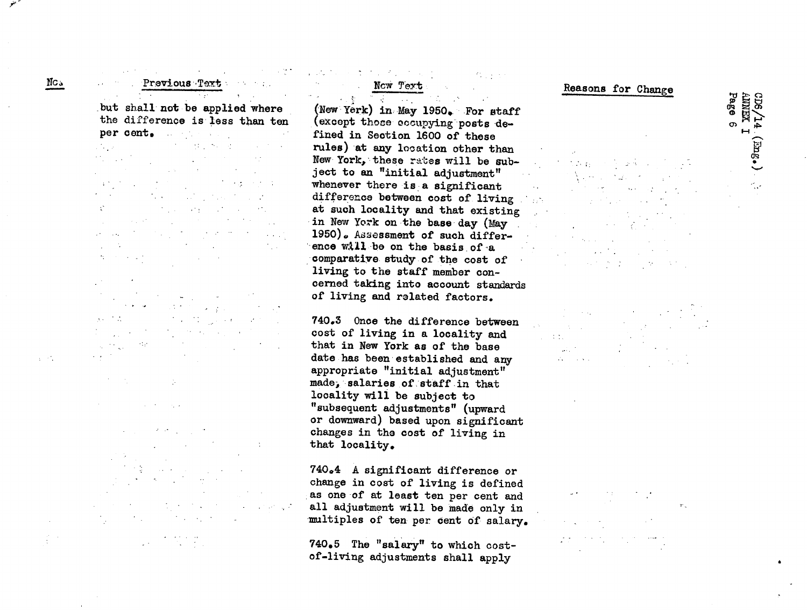$\mathcal{L}^{\mathcal{L}}(\mathcal{L}^{\mathcal{L}}(\mathcal{L}^{\mathcal{L}}(\mathcal{L}^{\mathcal{L}}(\mathcal{L}^{\mathcal{L}}(\mathcal{L}^{\mathcal{L}}(\mathcal{L}^{\mathcal{L}}(\mathcal{L}^{\mathcal{L}}(\mathcal{L}^{\mathcal{L}}(\mathcal{L}^{\mathcal{L}}(\mathcal{L}^{\mathcal{L}}(\mathcal{L}^{\mathcal{L}}(\mathcal{L}^{\mathcal{L}}(\mathcal{L}^{\mathcal{L}}(\mathcal{L}^{\mathcal{L}}(\mathcal{L}^{\mathcal{L}}(\mathcal{L}^{\mathcal{L$ **Previous Text** but shall not be applied where the difference is less than ten per cent. --

 $\mathbb{R}^2$  $\sim 10^6$  $\label{eq:2} \mathcal{L}_{\mathcal{A}}(\mathbf{x}) = \mathcal{L}_{\mathcal{A}}(\mathbf{x}) = \mathcal{L}_{\mathcal{A}}(\mathbf{x})$  $\mathcal{L}^*$ The company of the company of  $\label{eq:2.1} \mathcal{L}(\mathcal{L}_{\mathcal{A}}) = \mathcal{L}(\mathcal{L}_{\mathcal{A}}) = \mathcal{L}(\mathcal{L}_{\mathcal{A}})$  $\sim$  $\label{eq:2.1} \frac{1}{\sqrt{2}}\sum_{i=1}^n\frac{1}{\sqrt{2}}\sum_{i=1}^n\frac{1}{\sqrt{2}}\sum_{i=1}^n\frac{1}{\sqrt{2}}\sum_{i=1}^n\frac{1}{\sqrt{2}}\sum_{i=1}^n\frac{1}{\sqrt{2}}\sum_{i=1}^n\frac{1}{\sqrt{2}}\sum_{i=1}^n\frac{1}{\sqrt{2}}\sum_{i=1}^n\frac{1}{\sqrt{2}}\sum_{i=1}^n\frac{1}{\sqrt{2}}\sum_{i=1}^n\frac{1}{\sqrt{2}}\sum_{i=1}^n\frac$ contract the contract  $\sim 100$  km  $^{-1}$ in the co

 $\mathcal{L} = \{ \mathcal{L} \mid \mathcal{L} \in \mathcal{L} \}$ the Magner  $\mathcal{O}(\mathcal{O}(\log n))$  . The set of  $\mathcal{O}(\log n)$ 

 $\sim 10^{-10}$  M  $_\odot$  ,  $\sim 10^{-1}$ 

 $\Delta \sim 10^{11}$  and  $\Delta \sim 10^{11}$ 

 $\sim 10^{11}$  $\mathcal{L}^{\mathcal{L}}(\mathcal{L}^{\mathcal{L}})$  , where  $\mathcal{L}^{\mathcal{L}}(\mathcal{L}^{\mathcal{L}})$ 

#### $\label{eq:2.1} \mathcal{F}(\mathcal{F}) = \mathcal{F}(\mathcal{F}) = \mathcal{F}(\mathcal{F}) = \mathcal{F}(\mathcal{F})$  $\mathcal{O}(\log n)$  and

Now Text .

(New York) in: May 1950. For staff (except those ocupying posts defined in Section 1600 of these rules) at any location other than New York, these rates will be subject to an "initial adjustment" whenever there is a significant difference between cost of living at such locality and that existing in New York on the base day (May 1950). Assessment of such difference will be on the basis of a comparative study of the cost of living to the staff member concerned taking into account standards of living and related factors.

740.3 Once the difference between cost of living in a locality and that in New York as of the base date has been established and any appropriate "initial adjustment" made, salaries of staff in that locality will be subject to "subsequent adjustments" (upward or downward) based upon significant changes in the cost of living in that locality.

740e4 A significant difference or change in cost of living is defined as one of at least ten per cent and all adjustment will be made only in multiples of ten per cent of salary.

740.5 The "salary" to which costof-living adjustments shall apply

## Reasons for Change

CD6/1.<br>ANNEX<br>Page 6

თ.

 $(5n_{\rm B} \cdot)$ 

**Side Book** Valencia (  $\label{eq:2.1} \mathcal{L}_{\mathcal{A}}(\mathcal{A}) = \mathcal{L}_{\mathcal{A}}(\mathcal{A}) = \mathcal{L}_{\mathcal{A}}(\mathcal{A}) = \mathcal{L}_{\mathcal{A}}(\mathcal{A})$  $\mathcal{A}=\{x\in\mathcal{X}:\mathcal{A}\rightarrow\mathcal{A}\}$  , where  $\mathcal{A}$ 

 $\pm 1.75$ 

 $\mathcal{F}=\mathcal{F}_{\mathcal{A}}$  .  $\Delta \sim 10^5$ **September**  $\frac{1}{2\sqrt{2}}$  ,  $\frac{1}{2}$  $\mathcal{L}_{\bullet}$  , and  $\mathcal{L}_{\bullet}$ 

 $\tau$  .

 $\chi \rightarrow \chi$ 

 $\overline{\text{MC}}$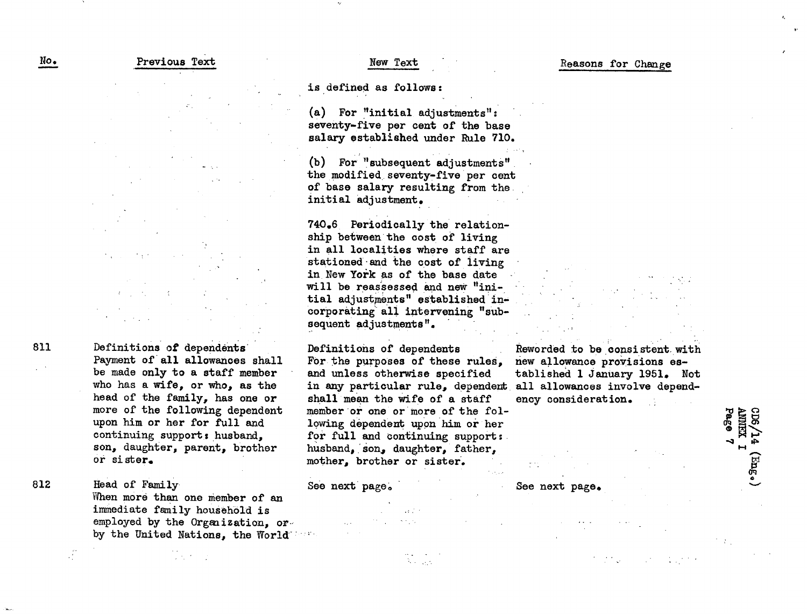is defined as follows:

(a) For "initial adjustments": seventy-five per cent of the base salary established under Rule 710.

(b) For "subsequent adjustments" the modified seventy-five per cent of base salary resulting from the. initial adjustment.

740.6 Periodically the relationship between the cost of living in all localities where staff are stationed- and the cost of living in New York as of the base date will be reassessed and new "initial adjustments" established incorporating all intervening "subsequent adjustments".

Definitions of dependents For the purposes of these rules, and unless otherwise specified in any particular rule, dependent all allowances involve dependshall mean the wife of a staff member or one or more of the following dependent upon him or her for full and continuing support: husband, son, daughter, father. mother, brother or sister.

See next page.

Reworded to be consistent with new allowance provisions established 1 January 1951. Not ency consideration.

See next page.

Page KILIKINY **CDG**  $H \leftarrow$ P<br>P -1-

Head of Family When more than one member of an immediate family household is employed by the Organization. orby the United Nations, the World's and

Definitions of dependents'

or sister.

Payment of'all allowances shall be made only to a staff member who has a wife, or who, as the head of the family, has one or more of the following dependent upon him or her for full and continuing support; husband, son, daughter, parent, brother

811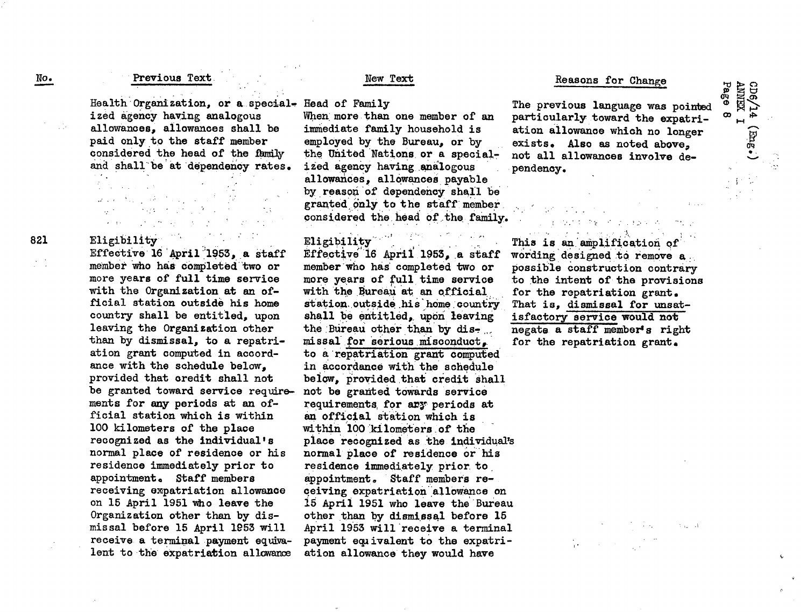#### Previous Text.

Health Organization, or a special-Head of Family ized agency having analogous allowances, allowances shall be paid only to the staff member considered the head of the family and shall be at dependency rates.  $\mathcal{L}^{\text{max}}$  and  $\mathcal{L}^{\text{max}}$ 

## المستحدث والمستحقق والمتعارض والمتعاطف  $\label{eq:2.1} \mathcal{L}_{\mathcal{A}}(x) = \mathcal{L}_{\mathcal{A}}(x) + \mathcal{L}_{\mathcal{A}}(x) + \mathcal{L}_{\mathcal{A}}(x) + \mathcal{L}_{\mathcal{A}}(x) + \mathcal{L}_{\mathcal{A}}(x)$  $\mathcal{L}^{\mathcal{A}}$  , where  $\mathcal{L}^{\mathcal{A}}$  are  $\mathcal{L}^{\mathcal{A}}$  , and  $\mathcal{L}^{\mathcal{A}}$

Eligibility<br>Effective 16 April 1953, a staff member who has completed'two or more years of full time service with the Organization at an official station outside his home country shall be entitled, upon leaving the Organization other than by dismissal, to a repatriation grant computed in accordance with the schedule below, provided that credit shall not be granted toward service requirements for any periods at an official station which is within 100 kilometers of the place recognized as the individual's normal place of residence or his residence immediately prior to appointment. Staff members receiving expatriation allowance on 15 April 1951 who leave the Organization other than by dismissal before 15 April 1953 will receive a terminal payment equivalent to the expatriation allowance

## New Text

When more than one member of an immediate family household is employed by the Bureau, or by the United Nations or a specialized agency having analogous allowances, allowances payable

by reason of dependency shall be granted only to the staff member considered the head of the family.

# Eligibility ...

Effective' 16 April 1953, a staff member'who has' completed two or more years of full time service with the Bureau at an official station outside his home country shall be entitled, upon leaving the Bureau other than by dismissal for serious misconduct. to a repatriation grant computed in accordance with the schedule below, provided that credit shall not be granted towards service requirements, for ary periods at an official station which is within 100 kilometers of the place recognized as the individual' normal place of residence or his residence immediately prior. to appointment. Staff members receiving expatriation' allowance on 15 April 1951 who leave the Bureau other than by dismissal before 15 April 1953 will receive a terminal payment equivalent to the expatri. ation allowance they would have

#### Reasons for Change

**I-l** ັo∘<br>ີີ

 $\mathcal{A}^{\mathcal{A}}_{\mathcal{A}}$  and  $\mathcal{A}$ 

0 **ti**

 $(*\sqrt{3}w)$ 

H

The previous language was pointed particularly.toward the expatriation allowance which no longer exists. Also as noted above, not all allowances involve dependency.

.. .. . .. · ' This is an amplification of wording designed to remove a. possible construction contrary to the intent of the provisions for the repatriation grant. That is, dismissal for unsatisfactory service would not negate a staff member's right for the repatriation grant.

医心室心脏过度 中華 化硫化合金医硫化合金

No.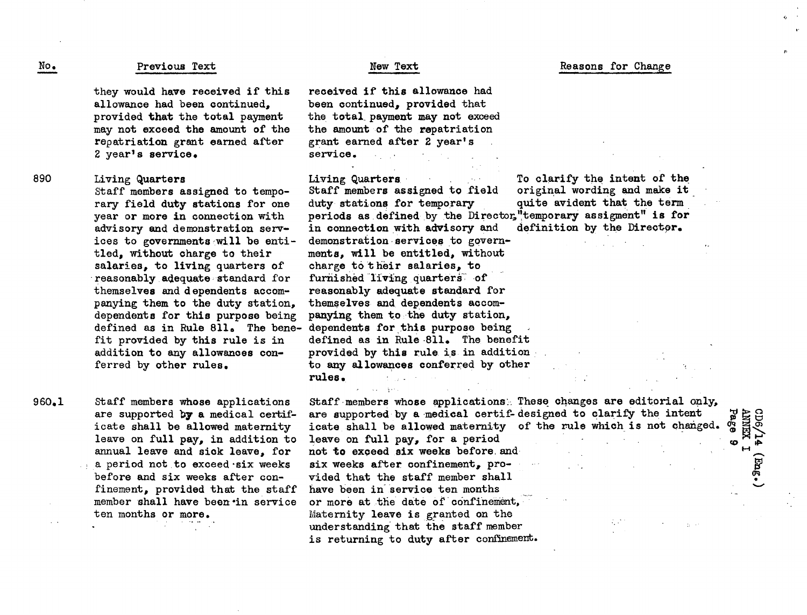#### No. Previous Text New Yext

they would have received if this allowance had been continued, provided that the total payment may not exceed the amount of the repatriation grant earned after 2 year's service.

Living Quarters 890

Staff members assigned to temporary field duty stations for one year or more in connection with advisory and demonstration services to governments-will be entitled, without charge to their salaries, to living quarters of reasonably adequate-standard for themselves and dependents accompanying them to the duty station, dependents for this purpose being defined as in Rule  $811$ . The benefit provided by this rule is in addition to any allowances conferred by other rules.

Staff members whose applications are supported by a medical certificate shall be allowed maternity leave on full pay, in addition to annual leave and sick leave, for a period not to exceed six weeks before and six weeks after confinement, provided that the staff member shall have been in service ten months or more. 960.1

received if this allowance had been continued, provided that the total payment may not exceed the amount of the repatriation grant earned after 2 year's service.

Staff members assigned to field original wording and make it duty stations for temporary periods as defined by the Director,"temporary assigment" is for<br>in connection with advisory and definition by the Director. in connection with advisory and demonstration services to governments, will be entitled, without charge to their salaries, to furnished living quarters of reasonably adequate standard for themselves and dependents accompanying them to the duty station, dependents for this purpose being defined as in Rule 811. The benefit provided by this rule is in addition. to any allowances conferred by other rules.

Living Quarters . To clarify the intent of the Staff members assigned to field original wording and make it

**Itoc**

(0 **\*h** <sup>P</sup>i *DrM*

cpe

**CO R0**

Reasons for Change

Staff members whose applications:. These changes are editorial only, are supported by a medical certif-designed to clarify the intent icate shall be allowed maternity of the rule which is not changed. leave on full pay, for a period not to exceed six weeks before, and six weeks after confinement, provided that the staff member shall have been in'service ten months or more at the date of'confinement, Maternity leave is granted on the understanding that the staff member is returning to duty after confinement.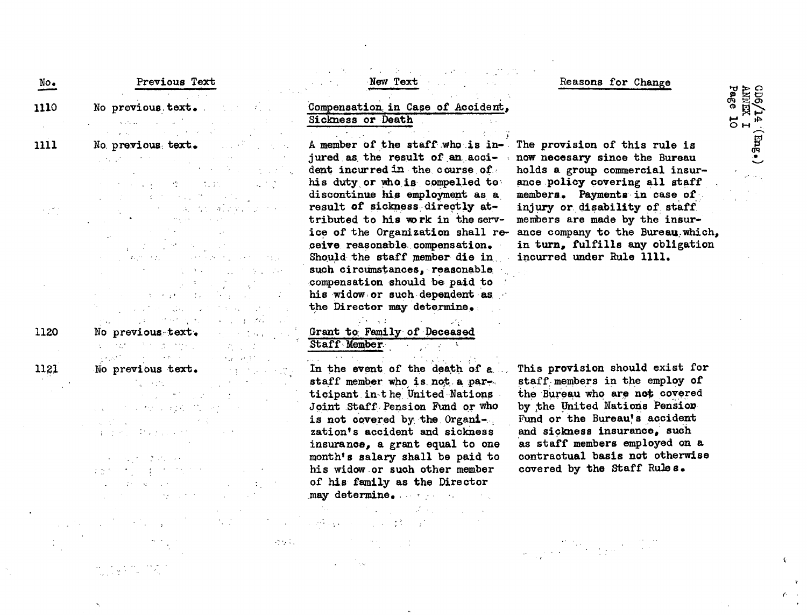| No.  | Previous Text                                                                                                                                                                                                                                                                                                                                                                                                                                                                                 |
|------|-----------------------------------------------------------------------------------------------------------------------------------------------------------------------------------------------------------------------------------------------------------------------------------------------------------------------------------------------------------------------------------------------------------------------------------------------------------------------------------------------|
| 1110 | $\mathcal{F}^{\text{max}}_{\text{max}}$<br>No previous text.                                                                                                                                                                                                                                                                                                                                                                                                                                  |
|      | $\mathcal{L}^{\mathcal{L}}(\mathbf{x},\mathcal{L}\mathbf{x},\mathbf{z})=\mathcal{L}^{\mathcal{L}}(\mathbf{x},\mathbf{z})=\mathcal{L}^{\mathcal{L}(\mathbf{x},\mathbf{z},\mathbf{z})}$<br>$\mathcal{A}=\frac{1}{2}$ , where $\mathcal{A}$                                                                                                                                                                                                                                                      |
| 1111 | political<br>No previous text.                                                                                                                                                                                                                                                                                                                                                                                                                                                                |
|      | $\mathcal{L}(\mathcal{F},\mathcal{F})$ , where $\mathcal{L}(\mathcal{F})$                                                                                                                                                                                                                                                                                                                                                                                                                     |
|      |                                                                                                                                                                                                                                                                                                                                                                                                                                                                                               |
|      | <b>位</b> 10                                                                                                                                                                                                                                                                                                                                                                                                                                                                                   |
|      |                                                                                                                                                                                                                                                                                                                                                                                                                                                                                               |
|      | $\sigma$ .                                                                                                                                                                                                                                                                                                                                                                                                                                                                                    |
|      |                                                                                                                                                                                                                                                                                                                                                                                                                                                                                               |
|      |                                                                                                                                                                                                                                                                                                                                                                                                                                                                                               |
|      |                                                                                                                                                                                                                                                                                                                                                                                                                                                                                               |
|      |                                                                                                                                                                                                                                                                                                                                                                                                                                                                                               |
|      |                                                                                                                                                                                                                                                                                                                                                                                                                                                                                               |
|      |                                                                                                                                                                                                                                                                                                                                                                                                                                                                                               |
|      |                                                                                                                                                                                                                                                                                                                                                                                                                                                                                               |
|      | al valore                                                                                                                                                                                                                                                                                                                                                                                                                                                                                     |
|      |                                                                                                                                                                                                                                                                                                                                                                                                                                                                                               |
| 1120 | No previous text.<br>a a c                                                                                                                                                                                                                                                                                                                                                                                                                                                                    |
|      | $\label{eq:2} \mathcal{L} = \frac{N_{\rm eff}}{N_{\rm eff}} \sum_{\alpha} \frac{N_{\rm eff}}{N_{\rm eff}} \sum_{\alpha} \frac{N_{\rm eff}}{N_{\rm eff}} \sum_{\alpha} \frac{N_{\rm eff}}{N_{\rm eff}} \sum_{\alpha} \frac{N_{\rm eff}}{N_{\rm eff}} \sum_{\alpha} \frac{N_{\rm eff}}{N_{\rm eff}} \sum_{\alpha} \frac{N_{\rm eff}}{N_{\rm eff}} \sum_{\alpha} \frac{N_{\rm eff}}{N_{\rm eff}} \sum_{\alpha} \frac{N_{\rm eff}}{N_{\rm eff}} \sum_{\alpha} \frac{N_{\rm eff$<br><b>SECTION</b> |
|      | $\label{eq:2} \mathcal{L}(\mathcal{L}^{\text{max}}_{\mathcal{L}}) = \mathcal{L}(\mathcal{L}^{\text{max}}_{\mathcal{L}}) \mathcal{L}(\mathcal{L}^{\text{max}}_{\mathcal{L}})$<br>$\mathcal{L}_{\text{max}}(\mathcal{C})$                                                                                                                                                                                                                                                                       |
| 1121 | No previous text.                                                                                                                                                                                                                                                                                                                                                                                                                                                                             |
|      |                                                                                                                                                                                                                                                                                                                                                                                                                                                                                               |
|      | $\sim 10^{-10}$                                                                                                                                                                                                                                                                                                                                                                                                                                                                               |
|      | $\sim 10^{11}$ .                                                                                                                                                                                                                                                                                                                                                                                                                                                                              |
|      |                                                                                                                                                                                                                                                                                                                                                                                                                                                                                               |
|      | $\label{eq:2} \mathcal{L}^{\mathcal{A}}(\mathcal{A})=\mathcal{L}^{\mathcal{A}}(\mathcal{A})=\mathcal{L}^{\mathcal{A}}(\mathcal{A})$                                                                                                                                                                                                                                                                                                                                                           |

 $\mathcal{O}(1/\sqrt{2})$ 

Compensation. in Case of Accident, Sickness or Death **.**

New Text

A member of the staff who is injured as the result of an accident incurred in the course of. his duty or who is compelled to: discontinue his employment as a, result of sickness directly attributed to his work in the service of the Organization shall receive reasonable compensation. Should the staff member die in. such circumstances, reasonable compensation should be paid to his widow or such dependent as the Director may determine,.

## Grant to Family of Deceased-.Staff Member-

 $\mathcal{L}^{\text{max}}(\mathcal{L})$ 

In the event of the death of  $a$ . staff member who is not a par-. ticipant. int he. United Nations Joint Staff Pension Fund or who is not covered by the Organization's accident and sickness insurance, a grant equal to one month's salary shall be paid to his widow or such other member of his family as the Director may determine,, ..

Reasons for Change

គ្គ ≧ ទ្គ ्घ्रु *#-* F;% 0 Fs

> g<br>Po **1**

> > $\epsilon$

The provision of this rule is now necesary since the Bureau holds a group commercial insurance policy covering all staff members. Payments in case of. injury or. disability of staff members are made by the insurance company to the Bureau which, in turn, fulfills any obligation incurred under Rule 1111.

This provision should exist for staff members in the employ of the Bureau who are not covered by the United Nations Pension Fund or the Bureau's accident and sickness insurance, such as staff members employed on a contractual basis not otherwise covered by the Staff Rule s.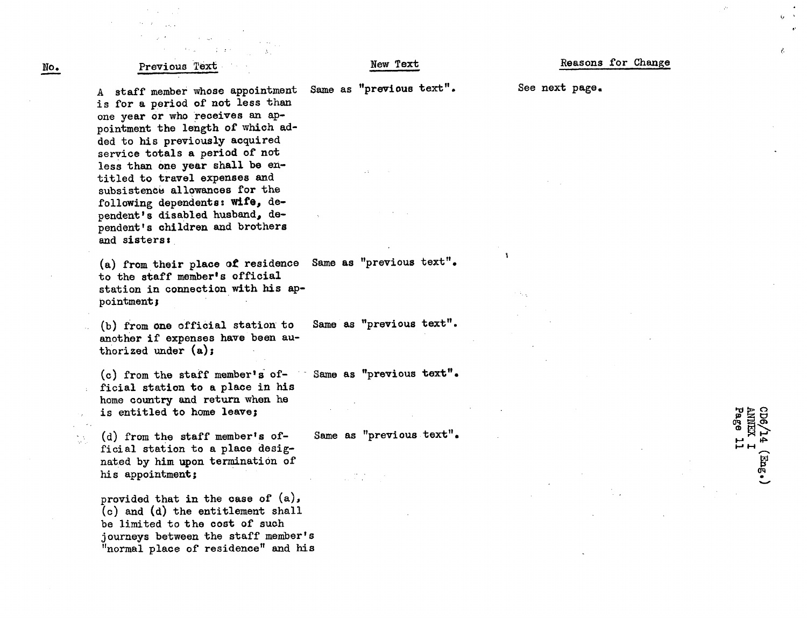#### Previous Text.

No.

M.

New Text

Same as "previous text".

**I'**

Ŷ,

es.

 $\Xi_{H}$ 

**ANNEX<br>Page CDG** 

A staff member whose appointment is for a period of not less than one year or who receives an appointment the length of which added to his previously acquired service totals a period of not less than one year shall be entitled to travel expenses and subsistence allowances for the following dependents: **wife,** dependent's disabled husband, dependent's children and brothers and sisters:

(a) from their place of residence to the staff member's official station in connection with his appointment;

(b) from one official station to another if expenses have been authorized under (a);

(c) from the staff member's official station to a place in his home country and return when he is entitled to home leave;

(d) from the staff member's official station to a place designated by him upon termination of his appointment;

provided that in the case of (a), (c) and (d) the entitlement shall be limited to the cost of such journeys between the staff member's "normal place of residence" and his See next page.

Same as "previous text".

Same as "previous text".

Same as "previous text".

Same as "previous text".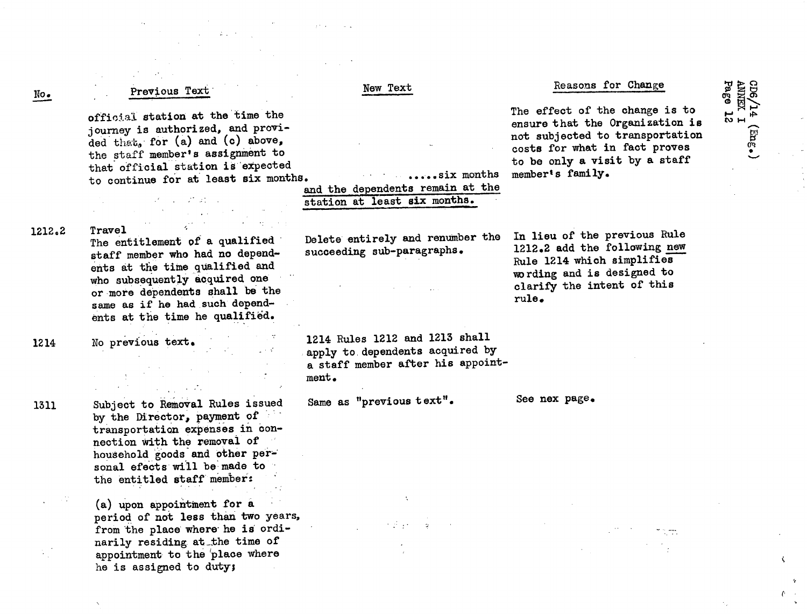#### Page Reasons for Change cDG **ANNEX** New Text Previous Text No. **A4<br>EXT12**<br>e 12 The effect of the change is to official station at the time the ensure that the Organization is journey is authorized, and provinot subjected to transportation oEj 9I ded that, for (a) and (c) above, costs for what in fact proves the staff member's assignment to to be only a visit by a staff that official station is'expected member's family. **3.** - ·q - . ..-.. six months to continue for at least six months and the dependents remain at the station at least six months. 1212.2 Travel In lieu of the previous Rule Delete entirely and renumber the The entitlement of a qualified 1212.2 add the following new succeeding sub-paragraphs. staff member who had no depend-Rule 1214 which simplifies ents at the time qualified and wording and is designed to who subsequently acquired one clarify the intent of this or more dependents shall be the rule. same as if he had such dependents at the time he qualified. No previous text. 1214 Rules 1212 and 1213 shall 1214 apply to dependents acquired by a staff member after his appointment. Same as "previous text". See nex page. Subject to Removal Rules issued 1311by the Director, payment of transportation expenses in connection with the removal of household goods and other per-' sonal efects will be made to the entitled staff'member: (a) upon appointment for a period of not less than two years, from the place where he is ordinarily residing at the time of

 $\epsilon$ 

he is assigned to duty;

appointment to the place where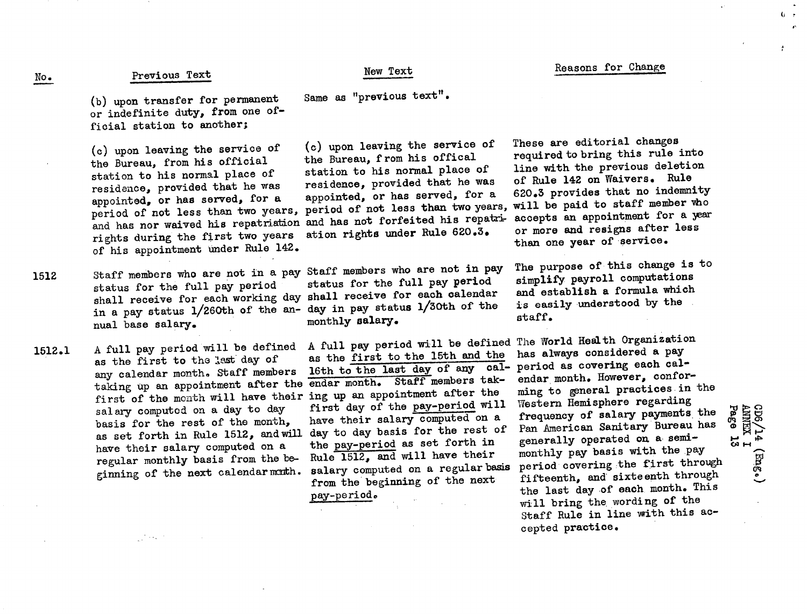#### New Text

Same as "previous text".

(b) upon transfer for permanent or indefinite duty, from one official station to another;

(c) upon leaving the service of the Bureau, from his official station to his normal place of residence, provided that he was appointed, or has served, for a eppositions, when two years, period of not less than two years, period of not less than two years, and has nor waived his repatriation and has not forfeited his repatrirights during the first two years of his appointment under Rule 142.

- 1512 Staff members who are not in a pay Staff members who are not in pay status for the full pay period shall receive for each working day in a pay status 1/260th of the annual base salary.
- 1512.1 A full pay period will be defined as the first to the last day of any calendar month. Staff members taking up an appointment after the first of the month will have their ing up an appointment after the<br>dirst of the month will have their ing up and the pay-pariod will salary computed on a day to day basis for the rest of the month, as set forth in Rule 1512, andwill have their salary computed on a regular monthly basis from the beginning of the next calendar month.

 $\mathcal{L}^{\mathcal{L}} \to \mathcal{L}$ 

(c) upon leaving the service of the Bureau, from his offical station to his normal place of residence, provided that he was appointed, or has served, for a ation rights under Rule 620.3.

status for the full pay period shall receive for each calendar day in pay status 1/30th of the monthly salary.

A full pay period will be defined as the first to the 15th and the 16th to the last day of any calendar month. Staff members takfirst day of the pay-period will have their salary computed on a day to day basis for the rest of the pay-period as set forth in Rule 1512, and will have their salary computed on a regular basis from the beginning of the next pay-periodo

These are editorial changes required to bring this rule into line with the previous deletion of Rule 142 on Waivers. Rule 620.3 provides that no indemnity will be paid to staff member who accepts an appointment for a year or more and resigns after less than one year of service.

The purpose of this change is to simplify payroll computations and establish a formula which is easily understood by the staff.

The World Health Organization has always considered a pay period as covering each calendar month. However, conforming to general practices in the Western Hemisphere regarding frequency of salary payments the Pan American Sanitary Bureau has generally operated on a semimonthly pay basis with the pay period covering the first through fifteenth, and sixteenth through the last day of each month. This will bring the wording of the Staff Rule in line with this accepted practice.

pa< " ¤

> 0J *CAF-* $\ddot{ }$  $\subset$

o r